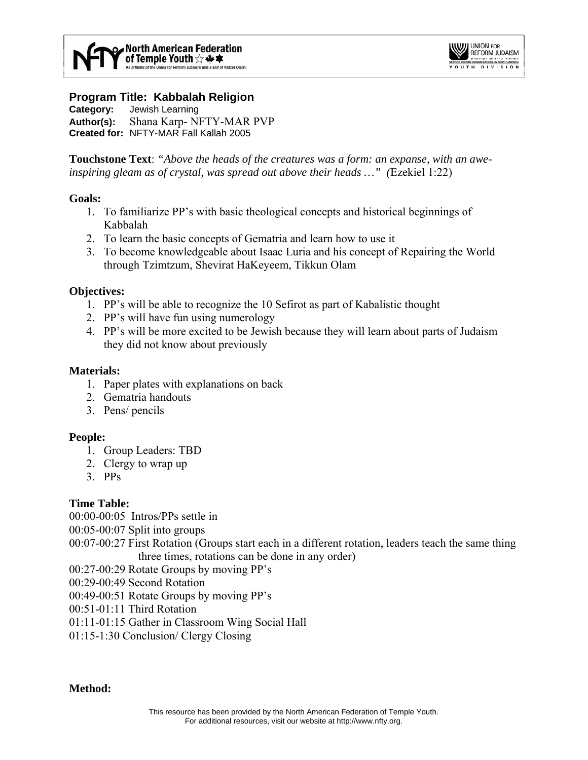

## **Program Title: Kabbalah Religion**

**Category:** Jewish Learning **Author(s):** Shana Karp- NFTY-MAR PVP **Created for:** NFTY-MAR Fall Kallah 2005

**Touchstone Text**: *"Above the heads of the creatures was a form: an expanse, with an aweinspiring gleam as of crystal, was spread out above their heads …" (*Ezekiel 1:22)

#### **Goals:**

- 1. To familiarize PP's with basic theological concepts and historical beginnings of Kabbalah
- 2. To learn the basic concepts of Gematria and learn how to use it
- 3. To become knowledgeable about Isaac Luria and his concept of Repairing the World through Tzimtzum, Shevirat HaKeyeem, Tikkun Olam

## **Objectives:**

- 1. PP's will be able to recognize the 10 Sefirot as part of Kabalistic thought
- 2. PP's will have fun using numerology
- 4. PP's will be more excited to be Jewish because they will learn about parts of Judaism they did not know about previously

## **Materials:**

- 1. Paper plates with explanations on back
- 2. Gematria handouts
- 3. Pens/ pencils

## **People:**

- 1. Group Leaders: TBD
- 2. Clergy to wrap up
- 3. PPs

## **Time Table:**

00:00-00:05 Intros/PPs settle in

00:05-00:07 Split into groups

00:07-00:27 First Rotation (Groups start each in a different rotation, leaders teach the same thing three times, rotations can be done in any order)

00:27-00:29 Rotate Groups by moving PP's

00:29-00:49 Second Rotation

00:49-00:51 Rotate Groups by moving PP's

00:51-01:11 Third Rotation

01:11-01:15 Gather in Classroom Wing Social Hall

01:15-1:30 Conclusion/ Clergy Closing

**Method:**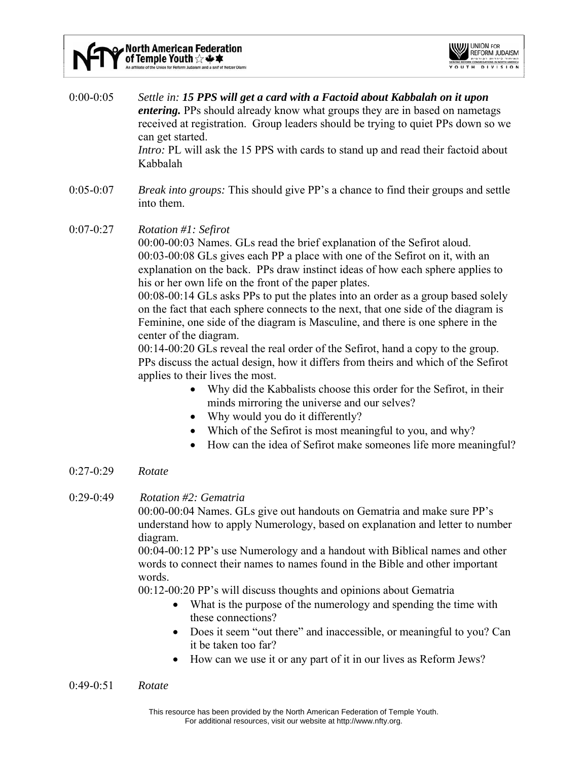ind a snif of Netzer Olami



0:00-0:05 *Settle in: 15 PPS will get a card with a Factoid about Kabbalah on it upon entering*. PPs should already know what groups they are in based on nametags received at registration. Group leaders should be trying to quiet PPs down so we can get started. *Intro:* PL will ask the 15 PPS with cards to stand up and read their factoid about Kabbalah

- 0:05-0:07 *Break into groups:* This should give PP's a chance to find their groups and settle into them.
- 0:07-0:27 *Rotation #1: Sefirot*

00:00-00:03 Names. GLs read the brief explanation of the Sefirot aloud. 00:03-00:08 GLs gives each PP a place with one of the Sefirot on it, with an explanation on the back. PPs draw instinct ideas of how each sphere applies to his or her own life on the front of the paper plates.

00:08-00:14 GLs asks PPs to put the plates into an order as a group based solely on the fact that each sphere connects to the next, that one side of the diagram is Feminine, one side of the diagram is Masculine, and there is one sphere in the center of the diagram.

00:14-00:20 GLs reveal the real order of the Sefirot, hand a copy to the group. PPs discuss the actual design, how it differs from theirs and which of the Sefirot applies to their lives the most.

- Why did the Kabbalists choose this order for the Sefirot, in their minds mirroring the universe and our selves?
- Why would you do it differently?
- Which of the Sefirot is most meaningful to you, and why?
- How can the idea of Sefirot make someones life more meaningful?
- 0:27-0:29 *Rotate*
- 0:29-0:49 *Rotation #2: Gematria*

00:00-00:04 Names. GLs give out handouts on Gematria and make sure PP's understand how to apply Numerology, based on explanation and letter to number diagram.

00:04-00:12 PP's use Numerology and a handout with Biblical names and other words to connect their names to names found in the Bible and other important words.

00:12-00:20 PP's will discuss thoughts and opinions about Gematria

- What is the purpose of the numerology and spending the time with these connections?
- Does it seem "out there" and inaccessible, or meaningful to you? Can it be taken too far?
- How can we use it or any part of it in our lives as Reform Jews?

#### 0:49-0:51 *Rotate*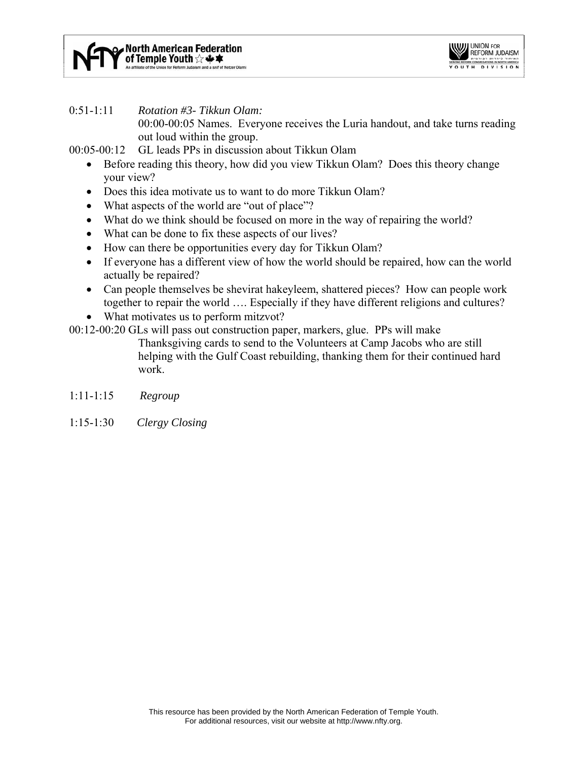

## 0:51-1:11 *Rotation #3- Tikkun Olam:*

00:00-00:05 Names. Everyone receives the Luria handout, and take turns reading out loud within the group.

00:05-00:12 GL leads PPs in discussion about Tikkun Olam

- Before reading this theory, how did you view Tikkun Olam? Does this theory change your view?
- Does this idea motivate us to want to do more Tikkun Olam?
- What aspects of the world are "out of place"?
- What do we think should be focused on more in the way of repairing the world?
- What can be done to fix these aspects of our lives?
- How can there be opportunities every day for Tikkun Olam?
- If everyone has a different view of how the world should be repaired, how can the world actually be repaired?
- Can people themselves be shevirat hakeyleem, shattered pieces? How can people work together to repair the world …. Especially if they have different religions and cultures?
- What motivates us to perform mitzvot?

00:12-00:20 GLs will pass out construction paper, markers, glue. PPs will make

Thanksgiving cards to send to the Volunteers at Camp Jacobs who are still helping with the Gulf Coast rebuilding, thanking them for their continued hard work.

- 1:11-1:15 *Regroup*
- 1:15-1:30 *Clergy Closing*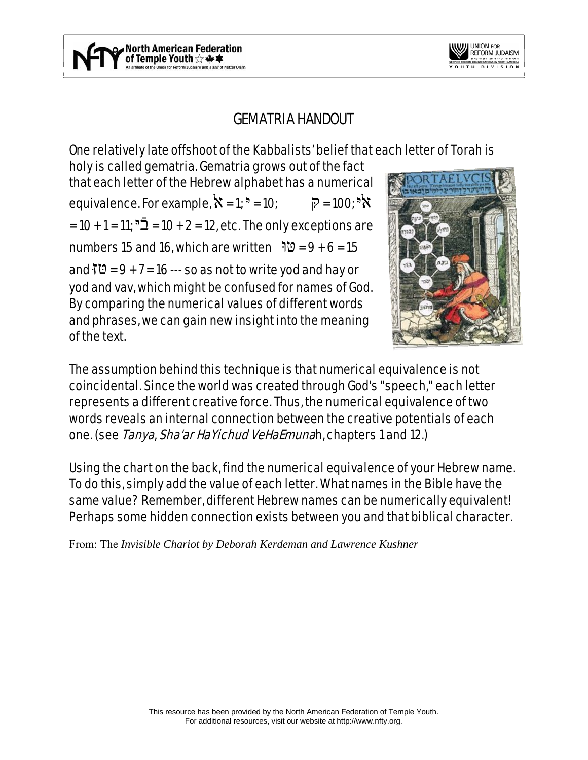

# GEMATRIA HANDOUT

One relatively late offshoot of the Kabbalists' belief that each letter of Torah is

holy is called gematria. Gematria grows out of the fact that each letter of the Hebrew alphabet has a numerical equivalence. For example,  $\aleph = 1$ ;  $\aleph = 10$ ;  $\aleph = 100$ ;  $\aleph \aleph$  $= 10 + 1 = 11$ ;  $5\bar{2} = 10 + 2 = 12$ , etc. The only exceptions are numbers 15 and 16, which are written  $\sqrt{0} = 9 + 6 = 15$ and  $\overline{10}$  = 9 + 7 = 16 --- so as not to write yod and hay or yod and vav, which might be confused for names of God. By comparing the numerical values of different words and phrases, we can gain new insight into the meaning of the text.



The assumption behind this technique is that numerical equivalence is not coincidental. Since the world was created through God's "speech," each letter represents a different creative force. Thus, the numerical equivalence of two words reveals an internal connection between the creative potentials of each one. (see Tanya, Sha'ar HaYichud VeHaEmunah, chapters 1 and 12.)

Using the chart on the back, find the numerical equivalence of your Hebrew name. To do this, simply add the value of each letter. What names in the Bible have the same value? Remember, different Hebrew names can be numerically equivalent! Perhaps some hidden connection exists between you and that biblical character.

From: The *Invisible Chariot by Deborah Kerdeman and Lawrence Kushner*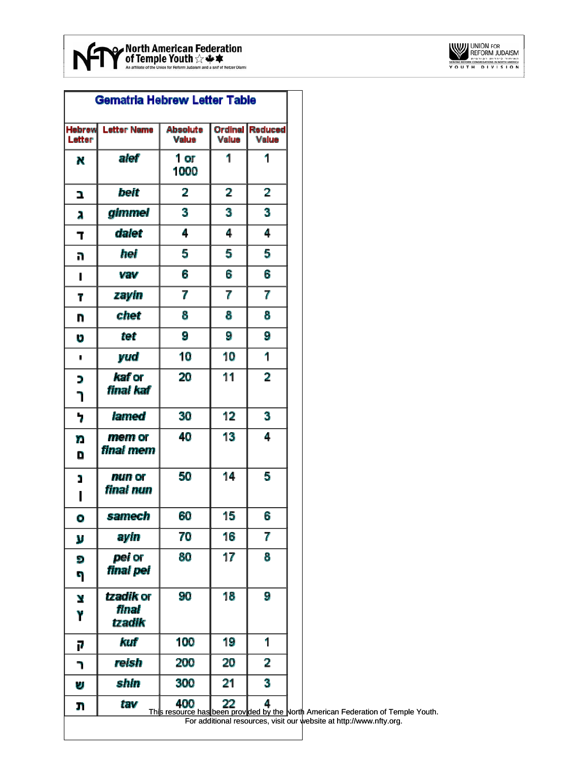

|                         | <b>Gematria Hebrew Letter Table</b> |                                                       |                         |                         |
|-------------------------|-------------------------------------|-------------------------------------------------------|-------------------------|-------------------------|
| <b>Hebrew</b><br>Letter | <b>Letter Name</b>                  | <b>Absolute</b><br><b>Value</b>                       | <b>Ordinal</b><br>Value | <b>Reduced</b><br>Value |
| N                       | alef                                | 1 or<br>1000                                          | 1                       | 1                       |
| 2                       | beit                                | 2                                                     | 2                       | 2                       |
| Ā                       | gimmel                              | 3                                                     | 3                       | 3                       |
| Т                       | dalet                               | 4                                                     | 4                       | 4                       |
| n                       | hei                                 | 5                                                     | 5                       | 5                       |
| I                       | vav                                 | 6                                                     | 6                       | 6                       |
| T                       | zayin                               | 7                                                     | 7                       | 7                       |
| n                       | chet                                | 8                                                     | 8                       | 8                       |
| U                       | tet                                 | 9                                                     | 9                       | 9                       |
| ٠                       | yud                                 | 10                                                    | 10                      | 1                       |
| D<br>٦                  | <i>kaf</i> or<br>final kaf          | 20                                                    | 11                      | $\overline{2}$          |
| 7                       | lamed                               | 30                                                    | 12                      | 3                       |
| n<br>D                  | mem or<br>final mem                 | 40                                                    | 13                      | 4                       |
| 1<br>ı                  | nun or<br>final nun                 | 50                                                    | 14                      | 5                       |
| o                       | samech                              | 60                                                    | 15                      | 6                       |
| y                       | ayin                                | 70                                                    | 16                      | 7                       |
| Đ<br>9                  | pei or<br>final pei                 | 80                                                    | 17                      | 8                       |
| Y<br>۲                  | tzadik or<br>final<br>tzadik        | 90                                                    | 18                      | 9                       |
| P                       | kuf                                 | 100                                                   | 19                      | 1                       |
| ٦                       | reish                               | 200                                                   | 20                      | 2                       |
| U                       | shin                                | 300                                                   | 21                      | 3                       |
| ŋ                       | tav                                 | 400<br>This resource has been provided by the North A | 22                      | 4                       |

North American Federation of Temple Youth. For additional resources, visit our website at http://www.nfty.org.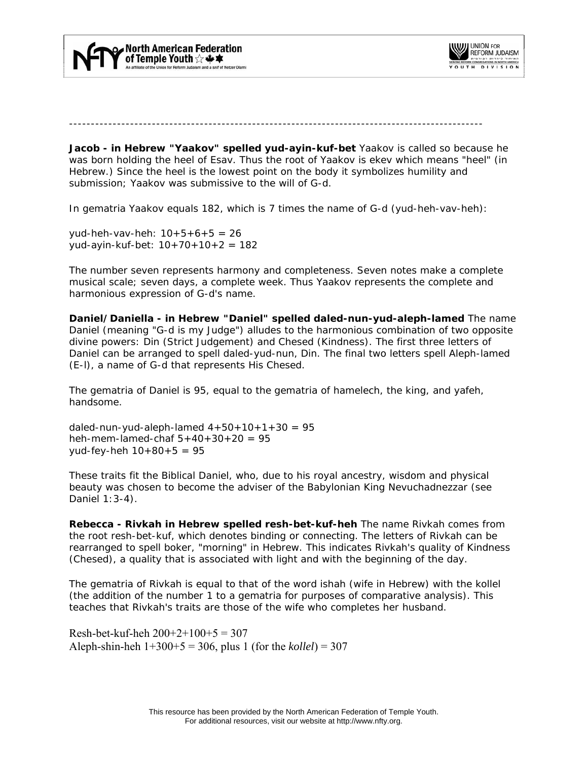



-----------------------------------------------------------------------------------------------

**Jacob - in Hebrew "Yaakov" spelled yud-ayin-kuf-bet** Yaakov is called so because he was born holding the heel of Esav. Thus the root of Yaakov is *ekev* which means "heel" (in Hebrew.) Since the heel is the lowest point on the body it symbolizes humility and submission; Yaakov was submissive to the will of G-d.

In *gematria* Yaakov equals 182, which is 7 times the name of G-d (yud-heh-vav-heh):

yud-heh-vav-heh: 10+5+6+5 = 26 yud-ayin-kuf-bet: 10+70+10+2 = 182

The number seven represents harmony and completeness. Seven notes make a complete musical scale; seven days, a complete week. Thus Yaakov represents the complete and harmonious expression of G-d's name.

**Daniel/Daniella - in Hebrew "Daniel" spelled daled-nun-yud-aleph-lamed** The name Daniel (meaning "G-d is my Judge") alludes to the harmonious combination of two opposite divine powers: *Din* (Strict Judgement) and *Chesed* (Kindness). The first three letters of Daniel can be arranged to spell daled-yud-nun, *Din.* The final two letters spell Aleph-lamed (E-l), a name of G-d that represents His *Chesed.*

The *gematria* of Daniel is 95, equal to the *gematria* of *hamelech,* the king, and *yafeh,* handsome.

daled-nun-yud-aleph-lamed  $4+50+10+1+30 = 95$ heh-mem-lamed-chaf  $5+40+30+20 = 95$ yud-fey-heh 10+80+5 = 95

These traits fit the Biblical Daniel, who, due to his royal ancestry, wisdom and physical beauty was chosen to become the adviser of the Babylonian King Nevuchadnezzar (see Daniel 1:3-4).

**Rebecca - Rivkah in Hebrew spelled resh-bet-kuf-heh** The name Rivkah comes from the root resh-bet-kuf, which denotes binding or connecting. The letters of Rivkah can be rearranged to spell *boker,* "morning" in Hebrew. This indicates Rivkah's quality of Kindness *(Chesed),* a quality that is associated with light and with the beginning of the day.

The *gematria* of Rivkah is equal to that of the word *ishah* (wife in Hebrew) with the *kollel* (the addition of the number 1 to a *gematria* for purposes of comparative analysis). This teaches that Rivkah's traits are those of the wife who completes her husband.

Resh-bet-kuf-heh  $200+2+100+5 = 307$ Aleph-shin-heh 1+300+5 = 306, plus 1 (for the *kollel*) = 307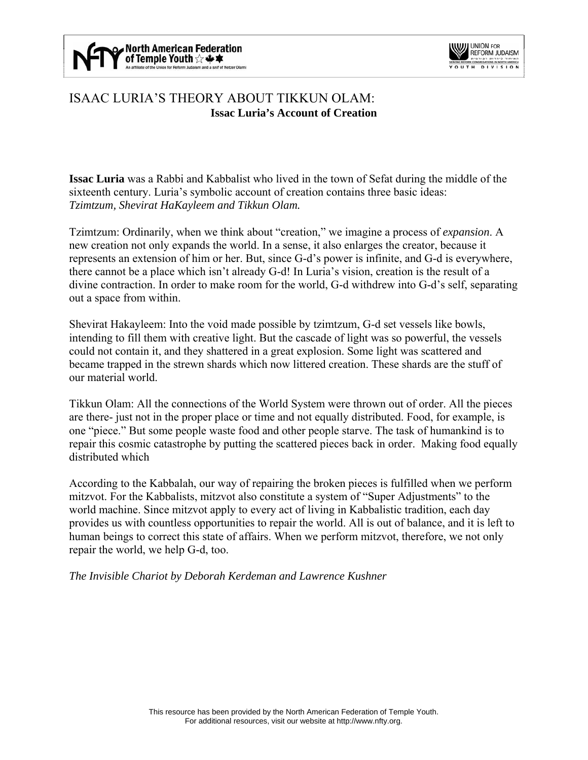



# ISAAC LURIA'S THEORY ABOUT TIKKUN OLAM: **Issac Luria's Account of Creation**

**Issac Luria** was a Rabbi and Kabbalist who lived in the town of Sefat during the middle of the sixteenth century. Luria's symbolic account of creation contains three basic ideas: *Tzimtzum, Shevirat HaKayleem and Tikkun Olam.* 

Tzimtzum: Ordinarily, when we think about "creation," we imagine a process of *expansion*. A new creation not only expands the world. In a sense, it also enlarges the creator, because it represents an extension of him or her. But, since G-d's power is infinite, and G-d is everywhere, there cannot be a place which isn't already G-d! In Luria's vision, creation is the result of a divine contraction. In order to make room for the world, G-d withdrew into G-d's self, separating out a space from within.

Shevirat Hakayleem: Into the void made possible by tzimtzum, G-d set vessels like bowls, intending to fill them with creative light. But the cascade of light was so powerful, the vessels could not contain it, and they shattered in a great explosion. Some light was scattered and became trapped in the strewn shards which now littered creation. These shards are the stuff of our material world.

Tikkun Olam: All the connections of the World System were thrown out of order. All the pieces are there- just not in the proper place or time and not equally distributed. Food, for example, is one "piece." But some people waste food and other people starve. The task of humankind is to repair this cosmic catastrophe by putting the scattered pieces back in order. Making food equally distributed which

According to the Kabbalah, our way of repairing the broken pieces is fulfilled when we perform mitzvot. For the Kabbalists, mitzvot also constitute a system of "Super Adjustments" to the world machine. Since mitzvot apply to every act of living in Kabbalistic tradition, each day provides us with countless opportunities to repair the world. All is out of balance, and it is left to human beings to correct this state of affairs. When we perform mitzvot, therefore, we not only repair the world, we help G-d, too.

*The Invisible Chariot by Deborah Kerdeman and Lawrence Kushner*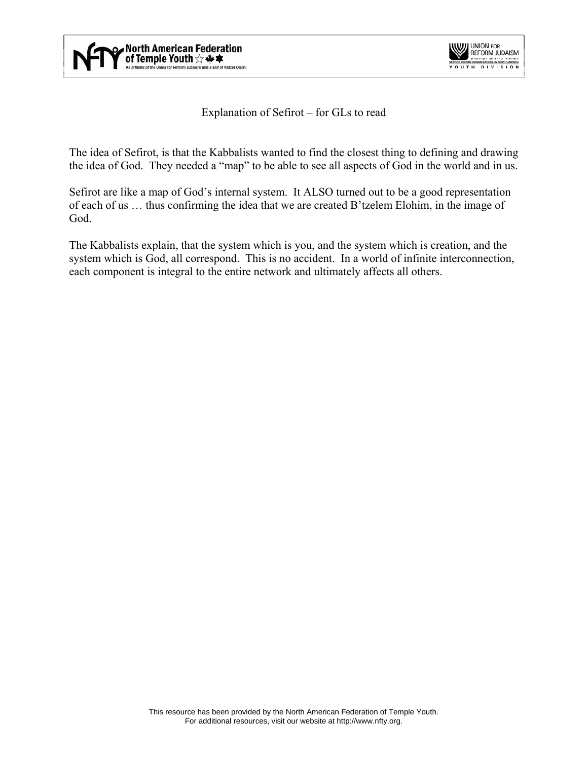



## Explanation of Sefirot – for GLs to read

The idea of Sefirot, is that the Kabbalists wanted to find the closest thing to defining and drawing the idea of God. They needed a "map" to be able to see all aspects of God in the world and in us.

Sefirot are like a map of God's internal system. It ALSO turned out to be a good representation of each of us … thus confirming the idea that we are created B'tzelem Elohim, in the image of God.

The Kabbalists explain, that the system which is you, and the system which is creation, and the system which is God, all correspond. This is no accident. In a world of infinite interconnection, each component is integral to the entire network and ultimately affects all others.